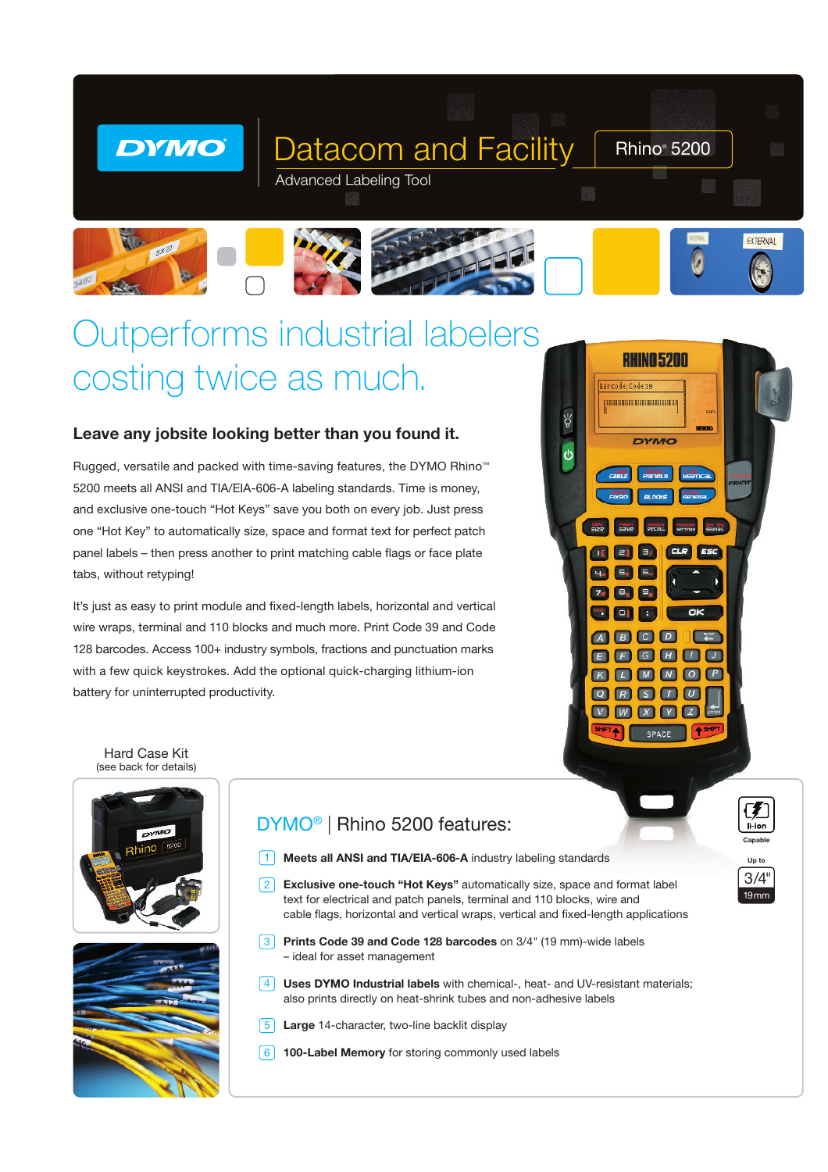







# Outperforms industrial labelers costing twice as much.

### Leave any jobsite looking better than you found it.

Rugged, versatile and packed with time-saving features, the DYMO Rhino™ 5200 meets all ANSI and TIA/EIA-606-A labeling standards. Time is money, and exclusive one-touch "Hot Keys" save you both on every job. Just press one "Hot Key" to automatically size, space and format text for perfect patch panel labels – then press another to print matching cable flags or face plate tabs, without retyping!

It's just as easy to print module and fixed-length labels, horizontal and vertical wire wraps, terminal and 110 blocks and much more. Print Code 39 and Code 128 barcodes. Access 100+ industry symbols, fractions and punctuation marks with a few quick keystrokes. Add the optional quick-charging lithium-ion battery for uninterrupted productivity.



Capable Up to

 $\mathcal{F}$ li-ion

19mm 3/4"

Hard Case Kit (see back for details)



## DYMO® | Rhino 5200 features:

- 1 Meets all ANSI and TIA/EIA-606-A industry labeling standards
- $\left[2\right]$  Exclusive one-touch "Hot Keys" automatically size, space and format label text for electrical and patch panels, terminal and 110 blocks, wire and cable flags, horizontal and vertical wraps, vertical and fixed-length applications
- **3** Prints Code 39 and Code 128 barcodes on 3/4" (19 mm)-wide labels – ideal for asset management
- $\sqrt{4}$  Uses DYMO Industrial labels with chemical-, heat- and UV-resistant materials; also prints directly on heat-shrink tubes and non-adhesive labels
- **5** Large 14-character, two-line backlit display
- **6** 100-Label Memory for storing commonly used labels